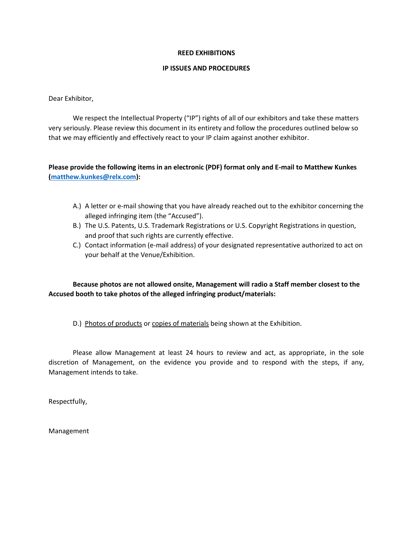## **REED EXHIBITIONS**

## **IP ISSUES AND PROCEDURES**

Dear Exhibitor,

We respect the Intellectual Property ("IP") rights of all of our exhibitors and take these matters very seriously. Please review this document in its entirety and follow the procedures outlined below so that we may efficiently and effectively react to your IP claim against another exhibitor.

**Please provide the following items in an electronic (PDF) format only and E-mail to Matthew Kunkes [\(matthew.kunkes@relx.com\)](mailto:matthew.kunkes@relx.com):** 

- A.) A letter or e-mail showing that you have already reached out to the exhibitor concerning the alleged infringing item (the "Accused").
- B.) The U.S. Patents, U.S. Trademark Registrations or U.S. Copyright Registrations in question, and proof that such rights are currently effective.
- C.) Contact information (e-mail address) of your designated representative authorized to act on your behalf at the Venue/Exhibition.

**Because photos are not allowed onsite, Management will radio a Staff member closest to the Accused booth to take photos of the alleged infringing product/materials:** 

D.) Photos of products or copies of materials being shown at the Exhibition.

Please allow Management at least 24 hours to review and act, as appropriate, in the sole discretion of Management, on the evidence you provide and to respond with the steps, if any, Management intends to take.

Respectfully,

Management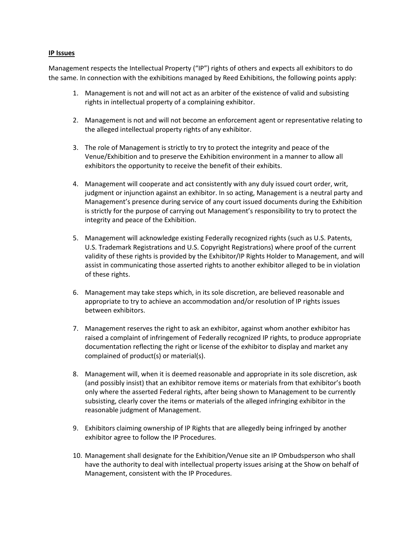## **IP Issues**

Management respects the Intellectual Property ("IP") rights of others and expects all exhibitors to do the same. In connection with the exhibitions managed by Reed Exhibitions, the following points apply:

- 1. Management is not and will not act as an arbiter of the existence of valid and subsisting rights in intellectual property of a complaining exhibitor.
- 2. Management is not and will not become an enforcement agent or representative relating to the alleged intellectual property rights of any exhibitor.
- 3. The role of Management is strictly to try to protect the integrity and peace of the Venue/Exhibition and to preserve the Exhibition environment in a manner to allow all exhibitors the opportunity to receive the benefit of their exhibits.
- 4. Management will cooperate and act consistently with any duly issued court order, writ, judgment or injunction against an exhibitor. In so acting, Management is a neutral party and Management's presence during service of any court issued documents during the Exhibition is strictly for the purpose of carrying out Management's responsibility to try to protect the integrity and peace of the Exhibition.
- 5. Management will acknowledge existing Federally recognized rights (such as U.S. Patents, U.S. Trademark Registrations and U.S. Copyright Registrations) where proof of the current validity of these rights is provided by the Exhibitor/IP Rights Holder to Management, and will assist in communicating those asserted rights to another exhibitor alleged to be in violation of these rights.
- 6. Management may take steps which, in its sole discretion, are believed reasonable and appropriate to try to achieve an accommodation and/or resolution of IP rights issues between exhibitors.
- 7. Management reserves the right to ask an exhibitor, against whom another exhibitor has raised a complaint of infringement of Federally recognized IP rights, to produce appropriate documentation reflecting the right or license of the exhibitor to display and market any complained of product(s) or material(s).
- 8. Management will, when it is deemed reasonable and appropriate in its sole discretion, ask (and possibly insist) that an exhibitor remove items or materials from that exhibitor's booth only where the asserted Federal rights, after being shown to Management to be currently subsisting, clearly cover the items or materials of the alleged infringing exhibitor in the reasonable judgment of Management.
- 9. Exhibitors claiming ownership of IP Rights that are allegedly being infringed by another exhibitor agree to follow the IP Procedures.
- 10. Management shall designate for the Exhibition/Venue site an IP Ombudsperson who shall have the authority to deal with intellectual property issues arising at the Show on behalf of Management, consistent with the IP Procedures.